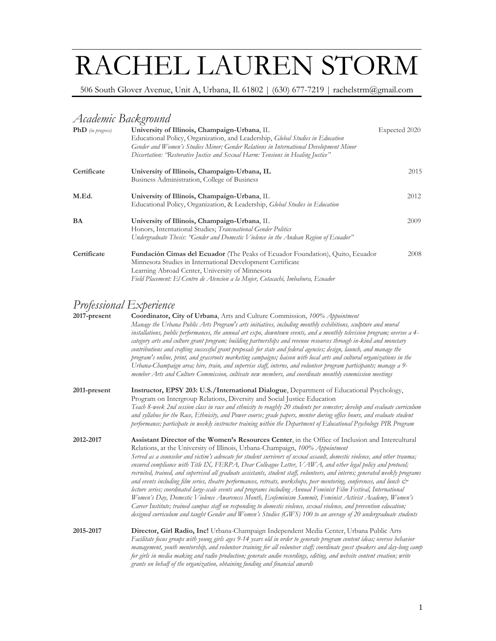# RACHEL LAUREN STORM

506 South Glover Avenue, Unit A, Urbana, Il. 61802 | (630) 677-7219 | rachelstrm@gmail.com

## *Academic Background*

| <b>PhD</b> (in progress) | University of Illinois, Champaign-Urbana, IL<br>Educational Policy, Organization, and Leadership, <i>Global Studies in Education</i> | Expected 2020 |
|--------------------------|--------------------------------------------------------------------------------------------------------------------------------------|---------------|
|                          | Gender and Women's Studies Minor; Gender Relations in International Development Minor                                                |               |
|                          | Dissertation: 'Restorative Justice and Sexual Harm: Tensions in Healing Justice"                                                     |               |
| Certificate              | University of Illinois, Champaign-Urbana, IL                                                                                         | 2015          |
|                          | Business Administration, College of Business                                                                                         |               |
| M.Ed.                    | University of Illinois, Champaign-Urbana, IL                                                                                         | 2012          |
|                          | Educational Policy, Organization, & Leadership, <i>Global Studies in Education</i>                                                   |               |
| <b>BA</b>                | University of Illinois, Champaign-Urbana, IL                                                                                         | 2009          |
|                          | Honors, International Studies; Transnational Gender Politics                                                                         |               |
|                          | Undergraduate Thesis: "Gender and Domestic Violence in the Andean Region of Ecuador"                                                 |               |
| Certificate              | Fundación Cimas del Ecuador (The Peaks of Ecuador Foundation), Quito, Ecuador                                                        | 2008          |
|                          | Minnesota Studies in International Development Certificate                                                                           |               |
|                          | Learning Abroad Center, University of Minnesota                                                                                      |               |
|                          | Field Placement: El Centro de Atencion a la Mujer, Cotacachi, Imbabura, Ecuador                                                      |               |

# *Professional Experience*

| 2017-present | <b>Coordinator, City of Urbana, Arts and Culture Commission, 100% Appointment</b><br>Manage the Urbana Public Arts Program's arts initiatives, including monthly exhibitions, sculpture and mural<br>installations, public performances, the annual art expo, downtown events, and a monthly television program; oversee a 4-<br>category arts and culture grant program; building partnerships and revenue resources through in-kind and monetary<br>contributions and crafting successful grant proposals for state and federal agencies; design, launch, and manage the<br>program's online, print, and grassroots marketing campaigns; liaison with local arts and cultural organizations in the<br>Urbana-Champaign area; hire, train, and supervise staff, interns, and volunteer program participants; manage a 9-<br>member Arts and Culture Commission, cultivate new members, and coordinate monthly commission meetings                                                                                                                                                                                                                                                    |  |
|--------------|---------------------------------------------------------------------------------------------------------------------------------------------------------------------------------------------------------------------------------------------------------------------------------------------------------------------------------------------------------------------------------------------------------------------------------------------------------------------------------------------------------------------------------------------------------------------------------------------------------------------------------------------------------------------------------------------------------------------------------------------------------------------------------------------------------------------------------------------------------------------------------------------------------------------------------------------------------------------------------------------------------------------------------------------------------------------------------------------------------------------------------------------------------------------------------------|--|
| 2011-present | <b>Instructor, EPSY 203: U.S./International Dialogue, Department of Educational Psychology,</b><br>Program on Intergroup Relations, Diversity and Social Justice Education                                                                                                                                                                                                                                                                                                                                                                                                                                                                                                                                                                                                                                                                                                                                                                                                                                                                                                                                                                                                            |  |
|              | Teach 8-week 2nd session class in race and ethnicity to roughly 20 students per semester; develop and evaluate curriculum<br>and syllabus for the Race, Ethnicity, and Power course; grade papers, mentor during office hours, and evaluate student<br>performance; participate in weekly instructor training within the Department of Educational Psychology PIR Program                                                                                                                                                                                                                                                                                                                                                                                                                                                                                                                                                                                                                                                                                                                                                                                                             |  |
| 2012-2017    | Assistant Director of the Women's Resources Center, in the Office of Inclusion and Intercultural<br>Relations, at the University of Illinois, Urbana-Champaign, 100% Appointment<br>Served as a counselor and victim's advocate for student survivors of sexual assault, domestic violence, and other trauma;<br>ensured compliance with Title IX, FERPA, Dear Colleague Letter, $VAWA$ , and other legal policy and protocol;<br>recruited, trained, and supervised all graduate assistants, student staff, volunteers, and interns; generated weekly programs<br>and events including film series, theatre performances, retreats, workshops, peer mentoring, conferences, and lunch $\dot{\mathcal{C}}$<br>lecture series; coordinated large-scale events and programs including Annual Feminist Film Festival, International<br>Women's Day, Domestic Violence Awareness Month, Ecofeminism Summit, Feminist Activist Academy, Women's<br>Career Institute; trained campus staff on responding to domestic violence, sexual violence, and prevention education;<br>designed curriculum and taught Gender and Women's Studies (GWS) 100 to an average of 20 undergraduate students |  |
| 2015-2017    | Director, Girl Radio, Inc! Urbana-Champaign Independent Media Center, Urbana Public Arts<br>Facilitate focus groups with young girls ages 9-14 years old in order to generate program content ideas; oversee behavior<br>management, youth mentorship, and volunteer training for all volunteer staff; coordinate guest speakers and day-long camp<br>for girls in media making and radio production; generate audio recordings, editing, and website content creation; write<br>grants on behalf of the organization, obtaining funding and financial awards                                                                                                                                                                                                                                                                                                                                                                                                                                                                                                                                                                                                                         |  |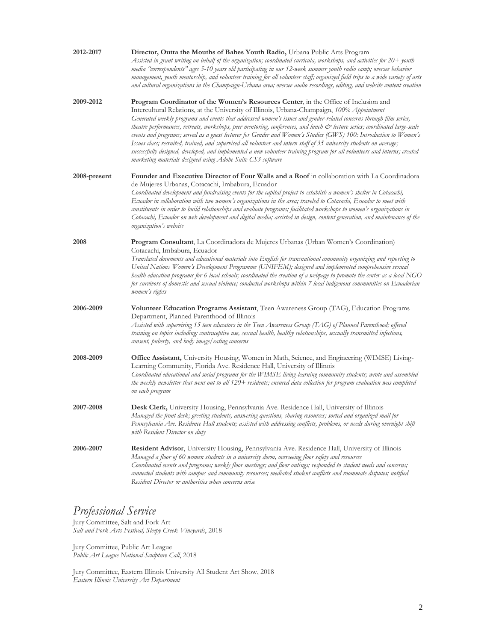| 2012-2017    | Director, Outta the Mouths of Babes Youth Radio, Urbana Public Arts Program<br>Assisted in grant writing on behalf of the organization; coordinated curricula, workshops, and activities for 20+ youth<br>media "correspondents" ages 5-10 years old participating in our 12-week summer youth radio camp; oversee behavior<br>management, youth mentorship, and volunteer training for all volunteer staff; organized field trips to a wide variety of arts<br>and cultural organizations in the Champaign-Urbana area; oversee audio recordings, editing, and website content creation                                                                                                                                                                                                                                                                                           |  |
|--------------|------------------------------------------------------------------------------------------------------------------------------------------------------------------------------------------------------------------------------------------------------------------------------------------------------------------------------------------------------------------------------------------------------------------------------------------------------------------------------------------------------------------------------------------------------------------------------------------------------------------------------------------------------------------------------------------------------------------------------------------------------------------------------------------------------------------------------------------------------------------------------------|--|
| 2009-2012    | Program Coordinator of the Women's Resources Center, in the Office of Inclusion and<br>Intercultural Relations, at the University of Illinois, Urbana-Champaign, 100% Appointment<br>Generated weekly programs and events that addressed women's issues and gender-related concerns through film series,<br>theatre performances, retreats, workshops, peer mentoring, conferences, and lunch & lecture series; coordinated large-scale<br>events and programs; served as a guest lecturer for Gender and Women's Studies (GWS) 100: Introduction to Women's<br>Issues class; recruited, trained, and supervised all volunteer and intern staff of 35 university students on average;<br>successfully designed, developed, and implemented a new volunteer training program for all volunteers and interns; created<br>marketing materials designed using Adobe Suite CS3 software |  |
| 2008-present | Founder and Executive Director of Four Walls and a Roof in collaboration with La Coordinadora<br>de Mujeres Urbanas, Cotacachi, Imbabura, Ecuador<br>Coordinated development and fundraising events for the capital project to establish a women's shelter in Cotacachi,<br>Ecuador in collaboration with two women's organizations in the area; traveled to Cotacachi, Ecuador to meet with<br>constituents in order to build relationships and evaluate programs; facilitated workshops to women's organizations in<br>Cotacachi, Ecuador on web development and digital media; assisted in design, content generation, and maintenance of the<br>organization's website                                                                                                                                                                                                         |  |
| 2008         | Program Consultant, La Coordinadora de Mujeres Urbanas (Urban Women's Coordination)<br>Cotacachi, Imbabura, Ecuador<br>Translated documents and educational materials into English for transnational community organizing and reporting to<br>United Nations Women's Development Programme (UNIFEM); designed and implemented comprehensive sexual<br>bealth education programs for 6 local schools; coordinated the creation of a webpage to promote the center as a local NGO<br>for survivors of domestic and sexual violence; conducted workshops within 7 local indigenous communities on Ecuadorian<br>women's rights                                                                                                                                                                                                                                                        |  |
| 2006-2009    | Volunteer Education Programs Assistant, Teen Awareness Group (TAG), Education Programs<br>Department, Planned Parenthood of Illinois<br>Assisted with supervising 15 teen educators in the Teen Awareness Group (TAG) of Planned Parenthood; offered<br>training on topics including: contraceptive use, sexual health, healthy relationships, sexually transmitted infections,<br>consent, puberty, and body image/eating concerns                                                                                                                                                                                                                                                                                                                                                                                                                                                |  |
| 2008-2009    | Office Assistant, University Housing, Women in Math, Science, and Engineering (WIMSE) Living-<br>Learning Community, Florida Ave. Residence Hall, University of Illinois<br>Coordinated educational and social programs for the WIMSE living-learning community students; wrote and assembled<br>the weekly newsletter that went out to all 120+ residents; ensured data collection for program evaluation was completed<br>on each program                                                                                                                                                                                                                                                                                                                                                                                                                                        |  |
| 2007-2008    | Desk Clerk, University Housing, Pennsylvania Ave. Residence Hall, University of Illinois<br>Managed the front desk; greeting students, answering questions, sharing resources; sorted and organized mail for<br>Pennsylvania Ave. Residence Hall students; assisted with addressing conflicts, problems, or needs during overnight shift<br>with Resident Director on duty                                                                                                                                                                                                                                                                                                                                                                                                                                                                                                         |  |
| 2006-2007    | Resident Advisor, University Housing, Pennsylvania Ave. Residence Hall, University of Illinois<br>Managed a floor of 60 women students in a university dorm, overseeing floor safety and resources<br>Coordinated events and programs; weekly floor meetings; and floor outings; responded to student needs and concerns;<br>connected students with campus and community resources; mediated student conflicts and roommate disputes; notified<br>Resident Director or authorities when concerns arise                                                                                                                                                                                                                                                                                                                                                                            |  |

## *Professional Service*

Jury Committee, Salt and Fork Art *Salt and Fork Arts Festival, Sleepy Creek Vineyards*, 2018

Jury Committee, Public Art League *Public Art League National Sculpture Call*, 2018

Jury Committee, Eastern Illinois University All Student Art Show, 2018 *Eastern Illinois University Art Department*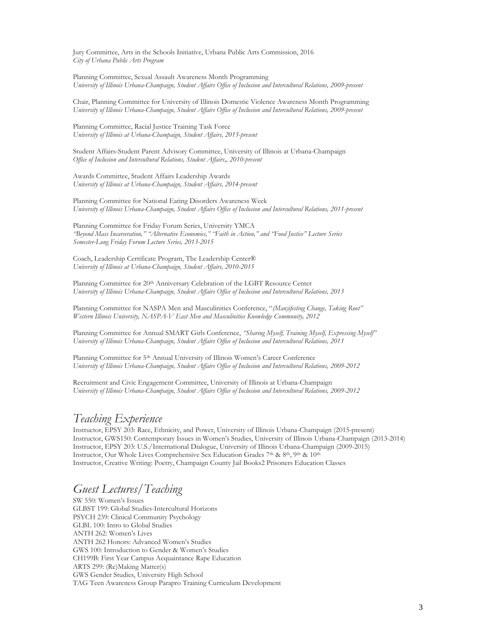Jury Committee, Arts in the Schools Initiative, Urbana Public Arts Commission, 2016 *City of Urbana Public Arts Program*

Planning Committee, Sexual Assault Awareness Month Programming *University of Illinois Urbana-Champaign, Student Affairs Office of Inclusion and Intercultural Relations, 2009-present*

Chair, Planning Committee for University of Illinois Domestic Violence Awareness Month Programming *University of Illinois Urbana-Champaign, Student Affairs Office of Inclusion and Intercultural Relations, 2009-present*

Planning Committee, Racial Justice Training Task Force *University of Illinois at Urbana-Champaign, Student Affairs, 2015-present*

Student Affairs-Student Parent Advisory Committee, University of Illinois at Urbana-Champaign *Office of Inclusion and Intercultural Relations, Student Affairs,, 2010-present*

Awards Committee, Student Affairs Leadership Awards *University of Illinois at Urbana-Champaign, Student Affairs, 2014-present*

Planning Committee for National Eating Disorders Awareness Week *University of Illinois Urbana-Champaign, Student Affairs Office of Inclusion and Intercultural Relations, 2011-present*

Planning Committee for Friday Forum Series, University YMCA *"Beyond Mass Incarceration," "Alternative Economies," "Faith in Action," and "Food Justice" Lecture Series Semester-Long Friday Forum Lecture Series, 2013-2015*

Coach, Leadership Certificate Program, The Leadership Center® *University of Illinois at Urbana-Champaign, Student Affairs, 2010-2015*

Planning Committee for 20th Anniversary Celebration of the LGBT Resource Center *University of Illinois Urbana-Champaign, Student Affairs Office of Inclusion and Intercultural Relations, 2013*

Planning Committee for NASPA Men and Masculinities Conference, "*(Man)ifesting Change, Taking Root" Western Illinois University, NASPA-V East Men and Masculinities Knowledge Community, 2012*

Planning Committee for Annual SMART Girls Conference, *"Sharing Myself, Training Myself, Expressing Myself" University of Illinois Urbana-Champaign, Student Affairs Office of Inclusion and Intercultural Relations, 2011*

Planning Committee for 5th Annual University of Illinois Women's Career Conference *University of Illinois Urbana-Champaign, Student Affairs Office of Inclusion and Intercultural Relations, 2009-2012*

Recruitment and Civic Engagement Committee, University of Illinois at Urbana-Champaign *University of Illinois Urbana-Champaign, Student Affairs Office of Inclusion and Intercultural Relations, 2009-2012*

## *Teaching Experience*

Instructor, EPSY 203: Race, Ethnicity, and Power, University of Illinois Urbana-Champaign (2015-present) Instructor, GWS150: Contemporary Issues in Women's Studies, University of Illinois Urbana-Champaign (2013-2014) Instructor, EPSY 203: U.S./International Dialogue, University of Illinois Urbana-Champaign (2009-2015) Instructor, Our Whole Lives Comprehensive Sex Education Grades 7th & 8th, 9th & 10th Instructor, Creative Writing: Poetry, Champaign County Jail Books2 Prisoners Education Classes

## *Guest Lectures/Teaching*

SW 550: Women's Issues GLBST 199: Global Studies-Intercultural Horizons PSYCH 239: Clinical Community Psychology GLBL 100: Intro to Global Studies ANTH 262: Women's Lives ANTH 262 Honors: Advanced Women's Studies GWS 100: Introduction to Gender & Women's Studies CH199B: First Year Campus Acquaintance Rape Education ARTS 299: (Re)Making Matter(s) GWS Gender Studies, University High School TAG Teen Awareness Group Parapro Training Curriculum Development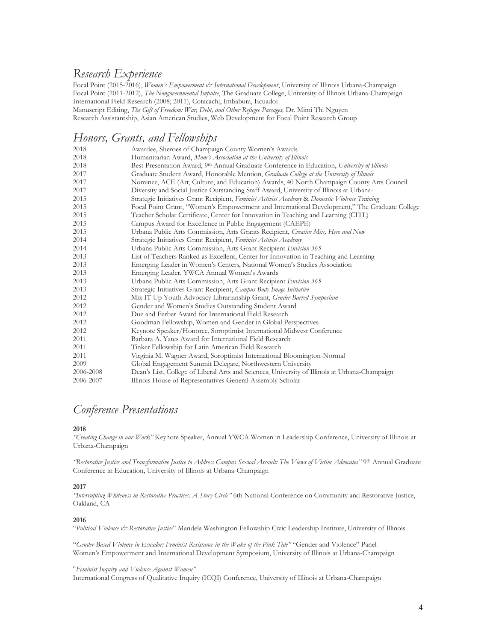## *Research Experience*

Focal Point (2015-2016), *Women's Empowerment & International Development*, University of Illinois Urbana-Champaign Focal Point (2011-2012), *The Nongovernmental Impulse*, The Graduate College, University of Illinois Urbana-Champaign International Field Research (2008; 2011), Cotacachi, Imbabura, Ecuador

Manuscript Editing, *The Gift of Freedom: War, Debt, and Other Refugee Passages,* Dr. Mimi Thi Nguyen

Research Assistantship, Asian American Studies, Web Development for Focal Point Research Group

## *Honors, Grants, and Fellowships*

| 2018      | Awardee, Sheroes of Champaign County Women's Awards                                           |  |
|-----------|-----------------------------------------------------------------------------------------------|--|
| 2018      | Humanitarian Award, Mom's Association at the University of Illinois                           |  |
| 2018      | Best Presentation Award, 9th Annual Graduate Conference in Education, University of Illinois  |  |
| 2017      | Graduate Student Award, Honorable Mention, Graduate College at the University of Illinois     |  |
| 2017      | Nominee, ACE (Art, Culture, and Education) Awards, 40 North Champaign County Arts Council     |  |
| 2017      | Diversity and Social Justice Outstanding Staff Award, University of Illinois at Urbana-       |  |
| 2015      | Strategic Initiatives Grant Recipient, Feminist Activist Academy & Domestic Violence Training |  |
| 2015      | Focal Point Grant, "Women's Empowerment and International Development," The Graduate College  |  |
| 2015      | Teacher Scholar Certificate, Center for Innovation in Teaching and Learning (CITL)            |  |
| 2015      | Campus Award for Excellence in Public Engagement (CAEPE)                                      |  |
| 2015      | Urbana Public Arts Commission, Arts Grants Recipient, Creative Mix, Here and Now              |  |
| 2014      | Strategic Initiatives Grant Recipient, Feminist Activist Academy                              |  |
| 2014      | Urbana Public Arts Commission, Arts Grant Recipient Envision 365                              |  |
| 2013      | List of Teachers Ranked as Excellent, Center for Innovation in Teaching and Learning          |  |
| 2013      | Emerging Leader in Women's Centers, National Women's Studies Association                      |  |
| 2013      | Emerging Leader, YWCA Annual Women's Awards                                                   |  |
| 2013      | Urbana Public Arts Commission, Arts Grant Recipient Envision 365                              |  |
| 2013      | Strategic Initiatives Grant Recipient, Campus Body Image Initiative                           |  |
| 2012      | Mix IT Up Youth Advocacy Librarianship Grant, Gender Barred Symposium                         |  |
| 2012      | Gender and Women's Studies Outstanding Student Award                                          |  |
| 2012      | Due and Ferber Award for International Field Research                                         |  |
| 2012      | Goodman Fellowship, Women and Gender in Global Perspectives                                   |  |
| 2012      | Keynote Speaker/Honoree, Soroptimist International Midwest Conference                         |  |
| 2011      | Barbara A. Yates Award for International Field Research                                       |  |
| 2011      | Tinker Fellowship for Latin American Field Research                                           |  |
| 2011      | Virginia M. Wagner Award, Soroptimist International Bloomington-Normal                        |  |
| 2009      | Global Engagement Summit Delegate, Northwestern University                                    |  |
| 2006-2008 | Dean's List, College of Liberal Arts and Sciences, University of Illinois at Urbana-Champaign |  |
| 2006-2007 | Illinois House of Representatives General Assembly Scholar                                    |  |

## *Conference Presentations*

#### **2018**

*"Creating Change in our Work"* Keynote Speaker, Annual YWCA Women in Leadership Conference, University of Illinois at Urbana-Champaign

*"Restorative Justice and Transformative Justice to Address Campus Sexual Assault: The Views of Victim Advocates"* 9th Annual Graduate Conference in Education, University of Illinois at Urbana-Champaign

#### **2017**

*"Interrupting Whiteness in Restorative Practices: A Story Circle"* 6th National Conference on Community and Restorative Justice, Oakland, CA

#### **2016**

"*Political Violence & Restorative Justice*" Mandela Washington Fellowship Civic Leadership Institute, University of Illinois

"*Gender-Based Violence in Ecuador: Feminist Resistance in the Wake of the Pink Tide"* "Gender and Violence" Panel Women's Empowerment and International Development Symposium, University of Illinois at Urbana-Champaign

#### "*Feminist Inquiry and Violence Against Women"*

International Congress of Qualitative Inquiry (ICQI) Conference, University of Illinois at Urbana-Champaign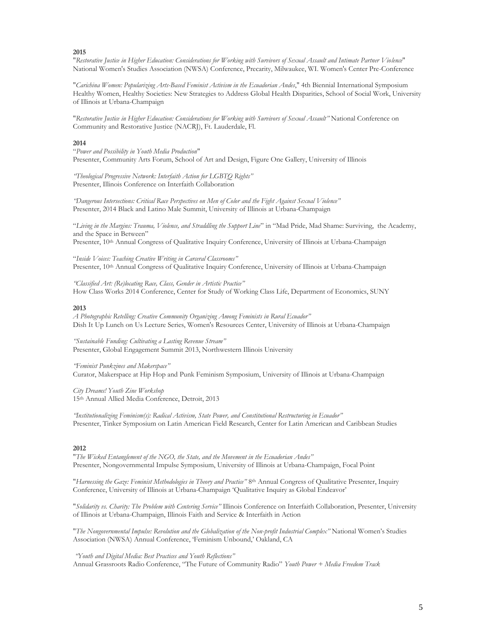**2015**

"*Restorative Justice in Higher Education: Considerations for Working with Survivors of Sexual Assault and Intimate Partner Violence*" National Women's Studies Association (NWSA) Conference, Precarity, Milwaukee, WI. Women's Center Pre-Conference

"*Carichina Women: Popularizing Arts-Based Feminist Activism in the Ecuadorian Andes*," 4th Biennial International Symposium Healthy Women, Healthy Societies: New Strategies to Address Global Health Disparities, School of Social Work, University of Illinois at Urbana-Champaign

"*Restorative Justice in Higher Education: Considerations for Working with Survivors of Sexual Assault"* National Conference on Community and Restorative Justice (NACRJ), Ft. Lauderdale, Fl.

#### **2014**

"*Power and Possibility in Youth Media Production*" Presenter, Community Arts Forum, School of Art and Design, Figure One Gallery, University of Illinois

*"Theological Progressive Network: Interfaith Action for LGBTQ Rights"* Presenter, Illinois Conference on Interfaith Collaboration

*"Dangerous Intersections: Critical Race Perspectives on Men of Color and the Fight Against Sexual Violence"* Presenter, 2014 Black and Latino Male Summit, University of Illinois at Urbana-Champaign

"*Living in the Margins: Trauma, Violence, and Straddling the Support Line*" in "Mad Pride, Mad Shame: Surviving, the Academy, and the Space in Between"

Presenter, 10th Annual Congress of Qualitative Inquiry Conference, University of Illinois at Urbana-Champaign

"*Inside Voices: Teaching Creative Writing in Carceral Classrooms"* Presenter, 10<sup>th</sup> Annual Congress of Qualitative Inquiry Conference, University of Illinois at Urbana-Champaign

*"Classified Art: (Re)locating Race, Class, Gender in Artistic Practice"* How Class Works 2014 Conference, Center for Study of Working Class Life, Department of Economics, SUNY

#### **2013**

*A Photographic Retelling: Creative Community Organizing Among Feminists in Rural Ecuador"* Dish It Up Lunch on Us Lecture Series, Women's Resources Center, University of Illinois at Urbana-Champaign

*"Sustainable Funding: Cultivating a Lasting Revenue Stream"* Presenter, Global Engagement Summit 2013, Northwestern Illinois University

*"Feminist Punkzines and Makerspace"* Curator, Makerspace at Hip Hop and Punk Feminism Symposium, University of Illinois at Urbana-Champaign

*City Dreams! Youth Zine Workshop* 15th Annual Allied Media Conference, Detroit, 2013

*"Institutionalizing Feminism(s): Radical Activism, State Power, and Constitutional Restructuring in Ecuador"* Presenter, Tinker Symposium on Latin American Field Research, Center for Latin American and Caribbean Studies

#### **2012**

"*The Wicked Entanglement of the NGO, the State, and the Movement in the Ecuadorian Andes"* Presenter, Nongovernmental Impulse Symposium, University of Illinois at Urbana-Champaign, Focal Point

"*Harnessing the Gaze: Feminist Methodologies in Theory and Practice"* 8th Annual Congress of Qualitative Presenter, Inquiry Conference, University of Illinois at Urbana-Champaign 'Qualitative Inquiry as Global Endeavor'

"*Solidarity vs. Charity: The Problem with Centering Service"* Illinois Conference on Interfaith Collaboration, Presenter, University of Illinois at Urbana-Champaign, Illinois Faith and Service & Interfaith in Action

"*The Nongovernmental Impulse: Revolution and the Globalization of the Non-profit Industrial Complex"* National Women's Studies Association (NWSA) Annual Conference, 'Feminism Unbound,' Oakland, CA

*"Youth and Digital Media: Best Practices and Youth Reflections"*

Annual Grassroots Radio Conference, "The Future of Community Radio" *Youth Power + Media Freedom Track*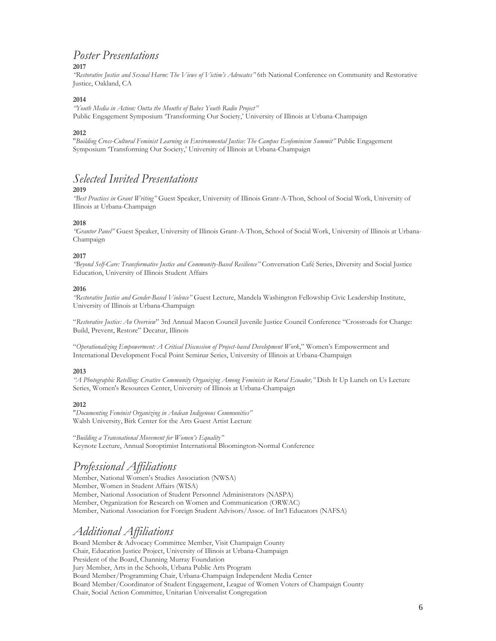## *Poster Presentations*

## **2017**

*"Restorative Justice and Sexual Harm: The Views of Victim's Advocates"* 6th National Conference on Community and Restorative Justice, Oakland, CA

### **2014**

*"Youth Media in Action: Outta the Mouths of Babes Youth Radio Project"* Public Engagement Symposium 'Transforming Our Society,' University of Illinois at Urbana-Champaign

## **2012**

"*Building Cross-Cultural Feminist Learning in Environmental Justice: The Campus Ecofeminism Summit"* Public Engagement Symposium 'Transforming Our Society,' University of Illinois at Urbana-Champaign

## *Selected Invited Presentations*

#### **2019**

*"Best Practices in Grant Writing"* Guest Speaker, University of Illinois Grant-A-Thon, School of Social Work, University of Illinois at Urbana-Champaign

#### **2018**

*"Grantor Panel"* Guest Speaker, University of Illinois Grant-A-Thon, School of Social Work, University of Illinois at Urbana-Champaign

#### **2017**

*"Beyond Self-Care: Transformative Justice and Community-Based Resilience"* Conversation Café Series, Diversity and Social Justice Education, University of Illinois Student Affairs

#### **2016**

*"Restorative Justice and Gender-Based Violence"* Guest Lecture, Mandela Washington Fellowship Civic Leadership Institute, University of Illinois at Urbana-Champaign

"*Restorative Justice: An Overview*" 3rd Annual Macon Council Juvenile Justice Council Conference "Crossroads for Change: Build, Prevent, Restore" Decatur, Illinois

"*Operationalizing Empowerment: A Critical Discussion of Project-based Development Work*," Women's Empowerment and International Development Focal Point Seminar Series, University of Illinois at Urbana-Champaign

#### **2013**

*"A Photographic Retelling: Creative Community Organizing Among Feminists in Rural Ecuador,"* Dish It Up Lunch on Us Lecture Series, Women's Resources Center, University of Illinois at Urbana-Champaign

#### **2012**

"*Documenting Feminist Organizing in Andean Indigenous Communities"* Walsh University, Birk Center for the Arts Guest Artist Lecture

"*Building a Transnational Movement for Women's Equality"* Keynote Lecture, Annual Soroptimist International Bloomington-Normal Conference

# *Professional Affiliations*

Member, National Women's Studies Association (NWSA) Member, Women in Student Affairs (WISA) Member, National Association of Student Personnel Administrators (NASPA) Member, Organization for Research on Women and Communication (ORWAC) Member, National Association for Foreign Student Advisors/Assoc. of Int'l Educators (NAFSA)

## *Additional Affiliations*

Board Member & Advocacy Committee Member, Visit Champaign County Chair, Education Justice Project, University of Illinois at Urbana-Champaign President of the Board, Channing Murray Foundation Jury Member, Arts in the Schools, Urbana Public Arts Program Board Member/Programming Chair, Urbana-Champaign Independent Media Center Board Member/Coordinator of Student Engagement, League of Women Voters of Champaign County Chair, Social Action Committee, Unitarian Universalist Congregation